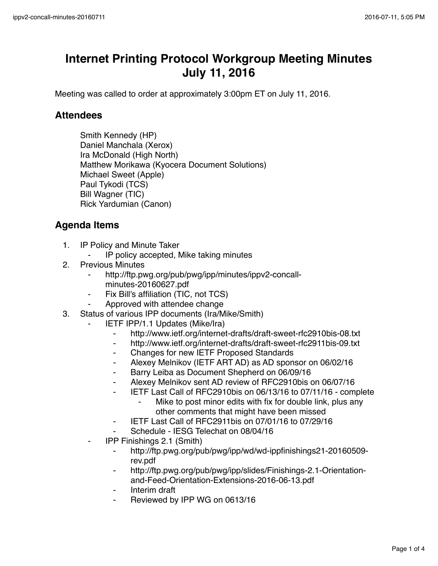## **Internet Printing Protocol Workgroup Meeting Minutes July 11, 2016**

Meeting was called to order at approximately 3:00pm ET on July 11, 2016.

## **Attendees**

Smith Kennedy (HP) Daniel Manchala (Xerox) Ira McDonald (High North) Matthew Morikawa (Kyocera Document Solutions) Michael Sweet (Apple) Paul Tykodi (TCS) Bill Wagner (TIC) Rick Yardumian (Canon)

## **Agenda Items**

- 1. IP Policy and Minute Taker
	- ⁃ IP policy accepted, Mike taking minutes
- 2. Previous Minutes
	- http://ftp.pwg.org/pub/pwg/ipp/minutes/ippv2-concallminutes-20160627.pdf
	- Fix Bill's affiliation (TIC, not TCS)
	- Approved with attendee change
- 3. Status of various IPP documents (Ira/Mike/Smith)
	- **IETF IPP/1.1 Updates (Mike/Ira)** 
		- ⁃ http://www.ietf.org/internet-drafts/draft-sweet-rfc2910bis-08.txt
		- ⁃ http://www.ietf.org/internet-drafts/draft-sweet-rfc2911bis-09.txt
		- ⁃ Changes for new IETF Proposed Standards
		- ⁃ Alexey Melnikov (IETF ART AD) as AD sponsor on 06/02/16
		- ⁃ Barry Leiba as Document Shepherd on 06/09/16
		- ⁃ Alexey Melnikov sent AD review of RFC2910bis on 06/07/16
		- ⁃ IETF Last Call of RFC2910bis on 06/13/16 to 07/11/16 complete
			- ⁃ Mike to post minor edits with fix for double link, plus any other comments that might have been missed
		- ⁃ IETF Last Call of RFC2911bis on 07/01/16 to 07/29/16
		- Schedule IESG Telechat on 08/04/16
	- ⁃ IPP Finishings 2.1 (Smith)
		- ⁃ http://ftp.pwg.org/pub/pwg/ipp/wd/wd-ippfinishings21-20160509 rev.pdf
		- http://ftp.pwg.org/pub/pwg/ipp/slides/Finishings-2.1-Orientationand-Feed-Orientation-Extensions-2016-06-13.pdf
		- ⁃ Interim draft
		- Reviewed by IPP WG on 0613/16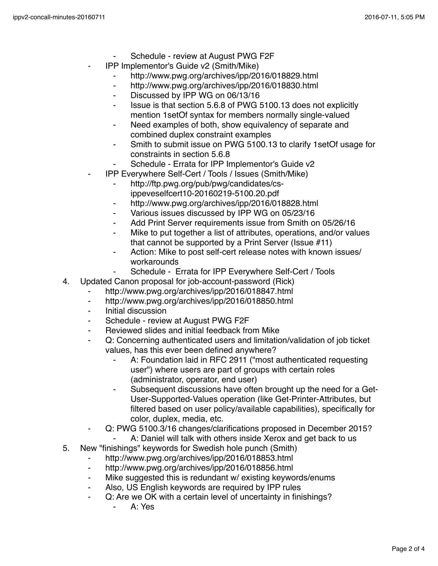- Schedule review at August PWG F2F
- ⁃ IPP Implementor's Guide v2 (Smith/Mike)
	- http://www.pwg.org/archives/ipp/2016/018829.html
	- ⁃ http://www.pwg.org/archives/ipp/2016/018830.html
	- ⁃ Discussed by IPP WG on 06/13/16
	- Issue is that section 5.6.8 of PWG 5100.13 does not explicitly mention 1setOf syntax for members normally single-valued
	- Need examples of both, show equivalency of separate and combined duplex constraint examples
	- ⁃ Smith to submit issue on PWG 5100.13 to clarify 1setOf usage for constraints in section 5.6.8
	- Schedule Errata for IPP Implementor's Guide v2
- ⁃ IPP Everywhere Self-Cert / Tools / Issues (Smith/Mike)
	- http://ftp.pwg.org/pub/pwg/candidates/csippeveselfcert10-20160219-5100.20.pdf
	- http://www.pwg.org/archives/ipp/2016/018828.html
	- ⁃ Various issues discussed by IPP WG on 05/23/16
	- Add Print Server requirements issue from Smith on 05/26/16
	- Mike to put together a list of attributes, operations, and/or values that cannot be supported by a Print Server (Issue #11)
	- Action: Mike to post self-cert release notes with known issues/ workarounds
		- Schedule Errata for IPP Everywhere Self-Cert / Tools
- 4. Updated Canon proposal for job-account-password (Rick)
	- http://www.pwg.org/archives/ipp/2016/018847.html
	- ⁃ http://www.pwg.org/archives/ipp/2016/018850.html
	- ⁃ Initial discussion
	- Schedule review at August PWG F2F
	- Reviewed slides and initial feedback from Mike
	- Q: Concerning authenticated users and limitation/validation of job ticket values, has this ever been defined anywhere?
		- ⁃ A: Foundation laid in RFC 2911 ("most authenticated requesting user") where users are part of groups with certain roles (administrator, operator, end user)
		- ⁃ Subsequent discussions have often brought up the need for a Get-User-Supported-Values operation (like Get-Printer-Attributes, but filtered based on user policy/available capabilities), specifically for color, duplex, media, etc.
	- Q: PWG 5100.3/16 changes/clarifications proposed in December 2015?
		- A: Daniel will talk with others inside Xerox and get back to us
- 5. New "finishings" keywords for Swedish hole punch (Smith)
	- ⁃ http://www.pwg.org/archives/ipp/2016/018853.html
	- http://www.pwg.org/archives/ipp/2016/018856.html
	- Mike suggested this is redundant w/ existing keywords/enums
	- ⁃ Also, US English keywords are required by IPP rules
	- Q: Are we OK with a certain level of uncertainty in finishings?
		- ⁃ A: Yes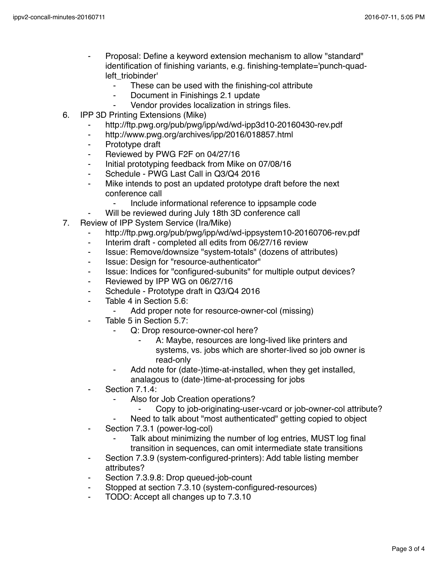- Proposal: Define a keyword extension mechanism to allow "standard" identification of finishing variants, e.g. finishing-template='punch-quadleft\_triobinder'
	- These can be used with the finishing-col attribute
	- Document in Finishings 2.1 update
	- Vendor provides localization in strings files.
- 6. IPP 3D Printing Extensions (Mike)
	- ⁃ http://ftp.pwg.org/pub/pwg/ipp/wd/wd-ipp3d10-20160430-rev.pdf
	- ⁃ http://www.pwg.org/archives/ipp/2016/018857.html
	- ⁃ Prototype draft
	- ⁃ Reviewed by PWG F2F on 04/27/16
	- ⁃ Initial prototyping feedback from Mike on 07/08/16
	- ⁃ Schedule PWG Last Call in Q3/Q4 2016
	- ⁃ Mike intends to post an updated prototype draft before the next conference call
		- Include informational reference to ippsample code
	- Will be reviewed during July 18th 3D conference call
- 7. Review of IPP System Service (Ira/Mike)
	- http://ftp.pwg.org/pub/pwg/ipp/wd/wd-ippsystem10-20160706-rev.pdf
	- ⁃ Interim draft completed all edits from 06/27/16 review
	- ⁃ Issue: Remove/downsize "system-totals" (dozens of attributes)
	- ⁃ Issue: Design for "resource-authenticator"
	- ⁃ Issue: Indices for "configured-subunits" for multiple output devices?
	- ⁃ Reviewed by IPP WG on 06/27/16
	- ⁃ Schedule Prototype draft in Q3/Q4 2016
	- ⁃ Table 4 in Section 5.6:
		- Add proper note for resource-owner-col (missing)
	- Table 5 in Section 5.7:
		- ⁃ Q: Drop resource-owner-col here?
			- A: Maybe, resources are long-lived like printers and systems, vs. jobs which are shorter-lived so job owner is read-only
		- Add note for (date-)time-at-installed, when they get installed, analagous to (date-)time-at-processing for jobs
	- Section 7.1.4:
		- Also for Job Creation operations?
			- Copy to job-originating-user-vcard or job-owner-col attribute?
		- Need to talk about "most authenticated" getting copied to object
	- ⁃ Section 7.3.1 (power-log-col)
		- Talk about minimizing the number of log entries, MUST log final transition in sequences, can omit intermediate state transitions
	- ⁃ Section 7.3.9 (system-configured-printers): Add table listing member attributes?
	- Section 7.3.9.8: Drop queued-job-count
	- ⁃ Stopped at section 7.3.10 (system-configured-resources)
	- TODO: Accept all changes up to 7.3.10